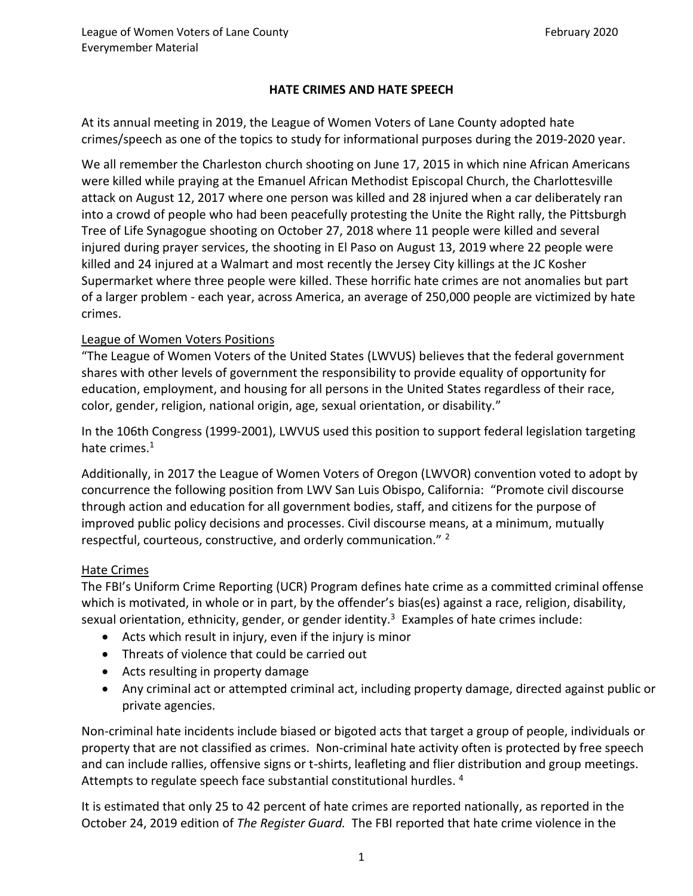### **HATE CRIMES AND HATE SPEECH**

At its annual meeting in 2019, the League of Women Voters of Lane County adopted hate crimes/speech as one of the topics to study for informational purposes during the 2019-2020 year.

We all remember the Charleston church shooting on June 17, 2015 in which nine African Americans were killed while praying at the Emanuel African Methodist Episcopal Church, the Charlottesville attack on August 12, 2017 where one person was killed and 28 injured when a car deliberately ran into a crowd of people who had been peacefully protesting the Unite the Right rally, the Pittsburgh Tree of Life Synagogue shooting on October 27, 2018 where 11 people were killed and several injured during prayer services, the shooting in El Paso on August 13, 2019 where 22 people were killed and 24 injured at a Walmart and most recently the Jersey City killings at the JC Kosher Supermarket where three people were killed. These horrific hate crimes are not anomalies but part of a larger problem - each year, across America, an average of 250,000 people are victimized by hate crimes.

### League of Women Voters Positions

"The League of Women Voters of the United States (LWVUS) believes that the federal government shares with other levels of government the responsibility to provide equality of opportunity for education, employment, and housing for all persons in the United States regardless of their race, color, gender, religion, national origin, age, sexual orientation, or disability."

In the 106th Congress (1999-2001), LWVUS used this position to support federal legislation targeting hate crimes. $1$ 

Additionally, in 2017 the League of Women Voters of Oregon (LWVOR) convention voted to adopt by concurrence the following position from LWV San Luis Obispo, California: "Promote civil discourse through action and education for all government bodies, staff, and citizens for the purpose of improved public policy decisions and processes. Civil discourse means, at a minimum, mutually respectful, courteous, constructive, and orderly communication." <sup>2</sup>

#### Hate Crimes

The FBI's Uniform Crime Reporting (UCR) Program defines hate crime as a committed criminal offense which is motivated, in whole or in part, by the offender's bias(es) against a race, religion, disability, sexual orientation, ethnicity, gender, or gender identity.<sup>3</sup> Examples of hate crimes include:

- Acts which result in injury, even if the injury is minor
- Threats of violence that could be carried out
- Acts resulting in property damage
- Any criminal act or attempted criminal act, including property damage, directed against public or private agencies.

Non-criminal hate incidents include biased or bigoted acts that target a group of people, individuals or property that are not classified as crimes. Non-criminal hate activity often is protected by free speech and can include rallies, offensive signs or t-shirts, leafleting and flier distribution and group meetings. Attempts to regulate speech face substantial constitutional hurdles.<sup>4</sup>

It is estimated that only 25 to 42 percent of hate crimes are reported nationally, as reported in the October 24, 2019 edition of *The Register Guard.* The FBI reported that hate crime violence in the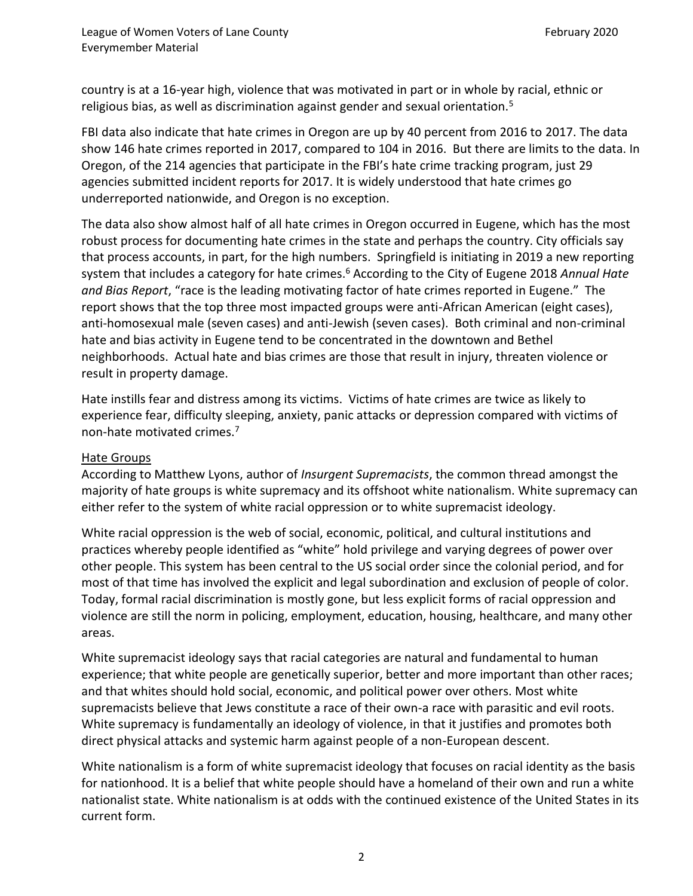country is at a 16-year high, violence that was motivated in part or in whole by racial, ethnic or religious bias, as well as discrimination against gender and sexual orientation. $5$ 

FBI data also indicate that hate crimes in Oregon are up by 40 percent from 2016 to 2017. The data show 146 hate crimes reported in 2017, compared to 104 in 2016. But there are limits to the data. In Oregon, of the 214 agencies that participate in the FBI's hate crime tracking program, just 29 agencies submitted incident reports for 2017. It is widely understood that hate crimes go underreported nationwide, and Oregon is no exception.

The data also show almost half of all hate crimes in Oregon occurred in Eugene, which has the most robust process for documenting hate crimes in the state and perhaps the country. City officials say that process accounts, in part, for the high numbers. Springfield is initiating in 2019 a new reporting system that includes a category for hate crimes.<sup>6</sup> According to the City of Eugene 2018 *Annual Hate and Bias Report*, "race is the leading motivating factor of hate crimes reported in Eugene." The report shows that the top three most impacted groups were anti-African American (eight cases), anti-homosexual male (seven cases) and anti-Jewish (seven cases). Both criminal and non-criminal hate and bias activity in Eugene tend to be concentrated in the downtown and Bethel neighborhoods. Actual hate and bias crimes are those that result in injury, threaten violence or result in property damage.

Hate instills fear and distress among its victims. Victims of hate crimes are twice as likely to experience fear, difficulty sleeping, anxiety, panic attacks or depression compared with victims of non-hate motivated crimes.<sup>7</sup>

## Hate Groups

According to Matthew Lyons, author of *Insurgent Supremacists*, the common thread amongst the majority of hate groups is white supremacy and its offshoot white nationalism. White supremacy can either refer to the system of white racial oppression or to white supremacist ideology.

White racial oppression is the web of social, economic, political, and cultural institutions and practices whereby people identified as "white" hold privilege and varying degrees of power over other people. This system has been central to the US social order since the colonial period, and for most of that time has involved the explicit and legal subordination and exclusion of people of color. Today, formal racial discrimination is mostly gone, but less explicit forms of racial oppression and violence are still the norm in policing, employment, education, housing, healthcare, and many other areas.

White supremacist ideology says that racial categories are natural and fundamental to human experience; that white people are genetically superior, better and more important than other races; and that whites should hold social, economic, and political power over others. Most white supremacists believe that Jews constitute a race of their own-a race with parasitic and evil roots. White supremacy is fundamentally an ideology of violence, in that it justifies and promotes both direct physical attacks and systemic harm against people of a non-European descent.

White nationalism is a form of white supremacist ideology that focuses on racial identity as the basis for nationhood. It is a belief that white people should have a homeland of their own and run a white nationalist state. White nationalism is at odds with the continued existence of the United States in its current form.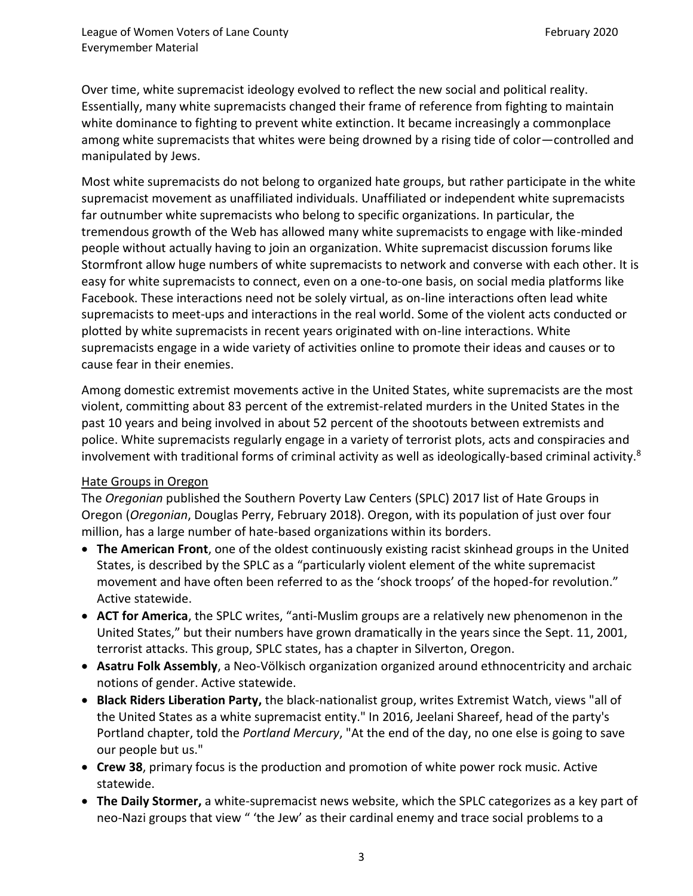Over time, white supremacist ideology evolved to reflect the new social and political reality. Essentially, many white supremacists changed their frame of reference from fighting to maintain white dominance to fighting to prevent white extinction. It became increasingly a commonplace among white supremacists that whites were being drowned by a rising tide of color—controlled and manipulated by Jews.

Most white supremacists do not belong to organized hate groups, but rather participate in the white supremacist movement as unaffiliated individuals. Unaffiliated or independent white supremacists far outnumber white supremacists who belong to specific organizations. In particular, the tremendous growth of the Web has allowed many white supremacists to engage with like-minded people without actually having to join an organization. White supremacist discussion forums like Stormfront allow huge numbers of white supremacists to network and converse with each other. It is easy for white supremacists to connect, even on a one-to-one basis, on social media platforms like Facebook. These interactions need not be solely virtual, as on-line interactions often lead white supremacists to meet-ups and interactions in the real world. Some of the violent acts conducted or plotted by white supremacists in recent years originated with on-line interactions. White supremacists engage in a wide variety of activities online to promote their ideas and causes or to cause fear in their enemies.

Among domestic extremist movements active in the United States, white supremacists are the most violent, committing about 83 percent of the extremist-related murders in the United States in the past 10 years and being involved in about 52 percent of the shootouts between extremists and police. White supremacists regularly engage in a variety of terrorist plots, acts and conspiracies and involvement with traditional forms of criminal activity as well as ideologically-based criminal activity. $8$ 

## Hate Groups in Oregon

The *Oregonian* published the Southern Poverty Law Centers (SPLC) 2017 list of Hate Groups in Oregon (*Oregonian*, Douglas Perry, February 2018). Oregon, with its population of just over four million, has a large number of hate-based organizations within its borders.

- **The American Front**, one of the oldest continuously existing racist skinhead groups in the United States, is described by the SPLC as a "particularly violent element of the white supremacist movement and have often been referred to as the 'shock troops' of the hoped-for revolution." Active statewide.
- **ACT for America**, the SPLC writes, "anti-Muslim groups are a relatively new phenomenon in the United States," but their numbers have grown dramatically in the years since the Sept. 11, 2001, terrorist attacks. This group, SPLC states, has a chapter in Silverton, Oregon.
- **Asatru Folk Assembly**, a Neo-Völkisch organization organized around ethnocentricity and archaic notions of gender. Active statewide.
- **Black Riders Liberation Party,** the black-nationalist group, writes Extremist Watch, views "all of the United States as a white supremacist entity." In 2016, Jeelani Shareef, head of the party's Portland chapter, told the *Portland Mercury*, "At the end of the day, no one else is going to save our people but us."
- **Crew 38**, primary focus is the production and promotion of white power rock music. Active statewide.
- **The Daily Stormer,** a white-supremacist news website, which the SPLC categorizes as a key part of neo-Nazi groups that view " 'the Jew' as their cardinal enemy and trace social problems to a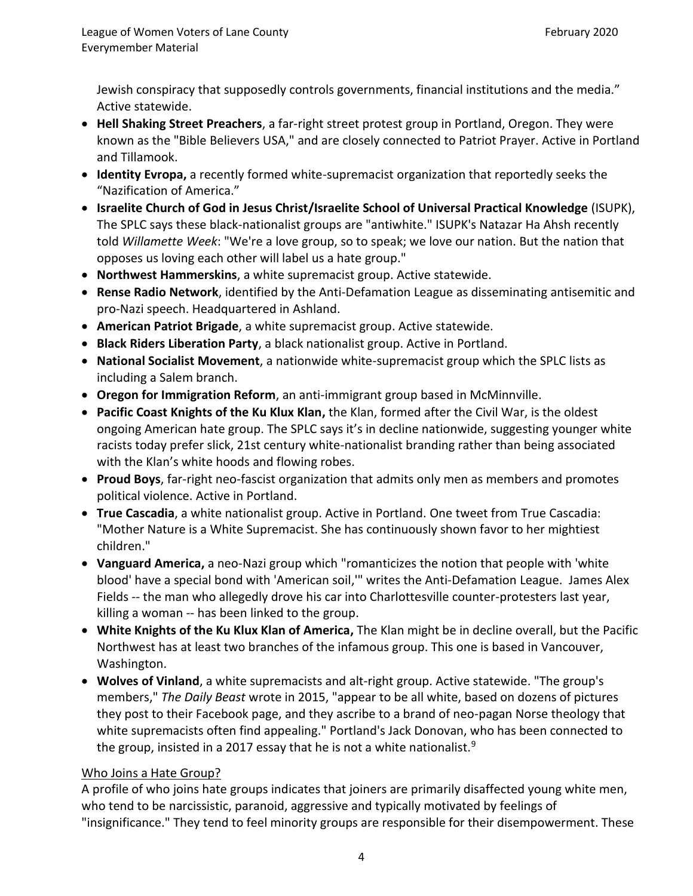Jewish conspiracy that supposedly controls governments, financial institutions and the media." Active statewide.

- **Hell Shaking Street Preachers**, a far-right street protest group in Portland, Oregon. They were known as the "Bible Believers USA," and are closely connected to Patriot Prayer. Active in Portland and Tillamook.
- **Identity Evropa,** a recently formed white-supremacist organization that reportedly seeks the "Nazification of America."
- **Israelite Church of God in Jesus Christ/Israelite School of Universal Practical Knowledge** (ISUPK), The SPLC says these black-nationalist groups are "antiwhite." ISUPK's Natazar Ha Ahsh recently told *Willamette Week*: "We're a love group, so to speak; we love our nation. But the nation that opposes us loving each other will label us a hate group."
- **Northwest Hammerskins**, a white supremacist group. Active statewide.
- **Rense Radio Network**, identified by the Anti-Defamation League as disseminating antisemitic and pro-Nazi speech. Headquartered in Ashland.
- **American Patriot Brigade**, a white supremacist group. Active statewide.
- **Black Riders Liberation Party**, a black nationalist group. Active in Portland.
- **National Socialist Movement**, a nationwide white-supremacist group which the SPLC lists as including a Salem branch.
- **Oregon for Immigration Reform**, an anti-immigrant group based in McMinnville.
- **Pacific Coast Knights of the Ku Klux Klan,** the Klan, formed after the Civil War, is the oldest ongoing American hate group. The SPLC says it's in decline nationwide, suggesting younger white racists today prefer slick, 21st century white-nationalist branding rather than being associated with the Klan's white hoods and flowing robes.
- **Proud Boys**, far-right neo-fascist organization that admits only men as members and promotes political violence. Active in Portland.
- **True Cascadia**, a white nationalist group. Active in Portland. One tweet from True Cascadia: "Mother Nature is a White Supremacist. She has continuously shown favor to her mightiest children."
- **Vanguard America,** a neo-Nazi group which "romanticizes the notion that people with 'white blood' have a special bond with 'American soil,'" writes the Anti-Defamation League. James Alex Fields -- the man who allegedly drove his car into Charlottesville counter-protesters last year, killing a woman -- has been linked to the group.
- **White Knights of the Ku Klux Klan of America,** The Klan might be in decline overall, but the Pacific Northwest has at least two branches of the infamous group. This one is based in Vancouver, Washington.
- **Wolves of Vinland**, a white supremacists and alt-right group. Active statewide. "The group's members," *The Daily Beast* wrote in 2015, "appear to be all white, based on dozens of pictures they post to their Facebook page, and they ascribe to a brand of neo-pagan Norse theology that white supremacists often find appealing." Portland's Jack Donovan, who has been connected to the group, insisted in a 2017 essay that he is not a white nationalist.<sup>9</sup>

## Who Joins a Hate Group?

A profile of who joins hate groups indicates that joiners are primarily disaffected young white men, who tend to be narcissistic, paranoid, aggressive and typically motivated by feelings of "insignificance." They tend to feel minority groups are responsible for their disempowerment. These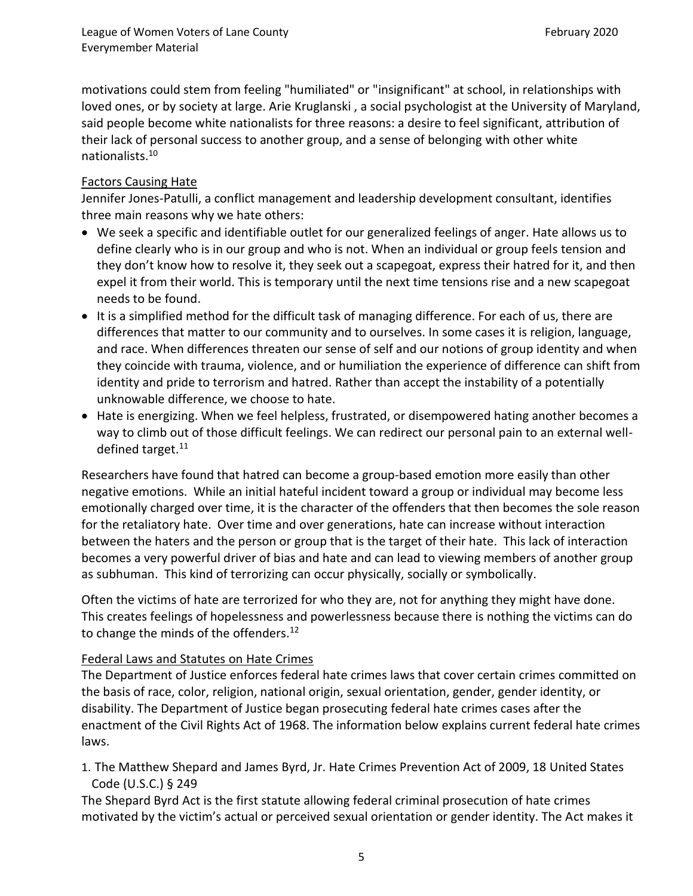motivations could stem from feeling "humiliated" or "insignificant" at school, in relationships with loved ones, or by society at large. Arie Kruglanski , a social psychologist at the University of Maryland, said people become white nationalists for three reasons: a desire to feel significant, attribution of their lack of personal success to another group, and a sense of belonging with other white nationalists.<sup>10</sup>

### Factors Causing Hate

Jennifer Jones-Patulli, a conflict management and leadership development consultant, identifies three main reasons why we hate others:

- We seek a specific and identifiable outlet for our generalized feelings of anger. Hate allows us to define clearly who is in our group and who is not. When an individual or group feels tension and they don't know how to resolve it, they seek out a scapegoat, express their hatred for it, and then expel it from their world. This is temporary until the next time tensions rise and a new scapegoat needs to be found.
- It is a simplified method for the difficult task of managing difference. For each of us, there are differences that matter to our community and to ourselves. In some cases it is religion, language, and race. When differences threaten our sense of self and our notions of group identity and when they coincide with trauma, violence, and or humiliation the experience of difference can shift from identity and pride to terrorism and hatred. Rather than accept the instability of a potentially unknowable difference, we choose to hate.
- Hate is energizing. When we feel helpless, frustrated, or disempowered hating another becomes a way to climb out of those difficult feelings. We can redirect our personal pain to an external welldefined target.<sup>11</sup>

Researchers have found that hatred can become a group-based emotion more easily than other negative emotions. While an initial hateful incident toward a group or individual may become less emotionally charged over time, it is the character of the offenders that then becomes the sole reason for the retaliatory hate. Over time and over generations, hate can increase without interaction between the haters and the person or group that is the target of their hate. This lack of interaction becomes a very powerful driver of bias and hate and can lead to viewing members of another group as subhuman. This kind of terrorizing can occur physically, socially or symbolically.

Often the victims of hate are terrorized for who they are, not for anything they might have done. This creates feelings of hopelessness and powerlessness because there is nothing the victims can do to change the minds of the offenders.<sup>12</sup>

#### Federal Laws and Statutes on Hate Crimes

The Department of Justice enforces federal hate crimes laws that cover certain crimes committed on the basis of race, color, religion, national origin, sexual orientation, gender, gender identity, or disability. The Department of Justice began prosecuting federal hate crimes cases after the enactment of the Civil Rights Act of 1968. The information below explains current federal hate crimes laws.

1. [The Matthew Shepard and James Byrd, Jr. Hate Crimes Prevention Act of 2009, 18](https://www.justice.gov/hatecrimes/laws-and-policies) United States Code [\(U.S.C.\)](https://www.justice.gov/hatecrimes/laws-and-policies) § 249

The Shepard Byrd Act is the first statute allowing federal criminal prosecution of hate crimes motivated by the victim's actual or perceived sexual orientation or gender identity. The Act makes it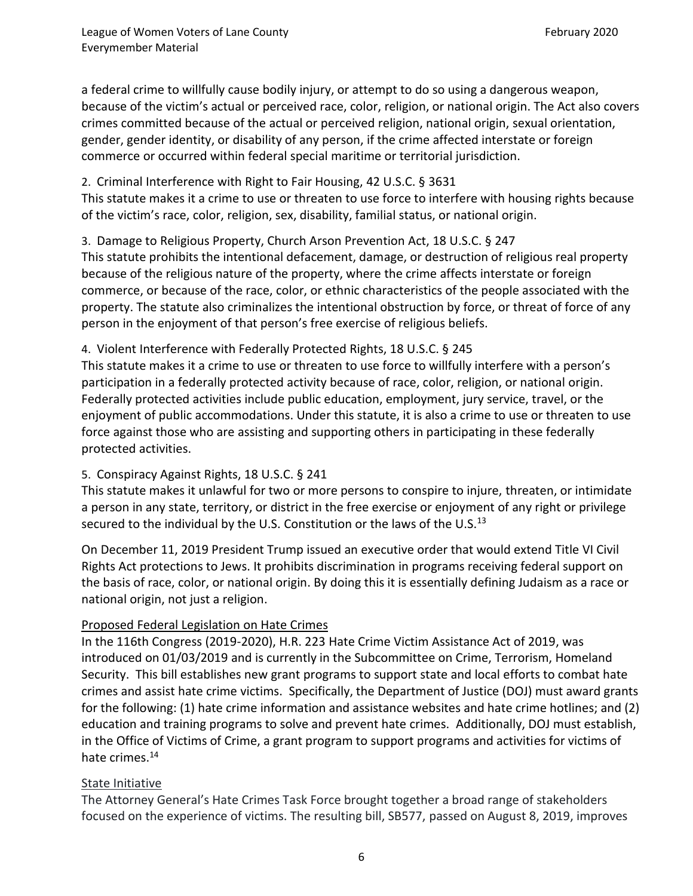a federal crime to willfully cause bodily injury, or attempt to do so using a dangerous weapon, because of the victim's actual or perceived race, color, religion, or national origin. The Act also covers crimes committed because of the actual or perceived religion, national origin, sexual orientation, gender, gender identity, or disability of any person, if the crime affected interstate or foreign commerce or occurred within federal special maritime or territorial jurisdiction.

### 2. [Criminal Interference with Right to Fair Housing, 4](https://www.justice.gov/hatecrimes/laws-and-policies)2 U.S.C. § 3631

This statute makes it a crime to use or threaten to use force to interfere with housing rights because of the victim's race, color, religion, sex, disability, familial status, or national origin.

3. [Damage to Religious Property, Church Arson Prevention Act, 18 U.S.C. § 247](https://www.justice.gov/hatecrimes/laws-and-policies) This statute prohibits the intentional defacement, damage, or destruction of religious real property because of the religious nature of the property, where the crime affects interstate or foreign commerce, or because of the race, color, or ethnic characteristics of the people associated with the property. The statute also criminalizes the intentional obstruction by force, or threat of force of any person in the enjoyment of that person's free exercise of religious beliefs.

### 4. [Violent Interference with Federally Protected Rights, 18 U.S.C. § 245](https://www.justice.gov/hatecrimes/laws-and-policies)

This statute makes it a crime to use or threaten to use force to willfully interfere with a person's participation in a federally protected activity because of race, color, religion, or national origin. Federally protected activities include public education, employment, jury service, travel, or the enjoyment of public accommodations. Under this statute, it is also a crime to use or threaten to use force against those who are assisting and supporting others in participating in these federally protected activities.

## 5. [Conspiracy Against Rights, 18 U.S.C. § 241](https://www.justice.gov/hatecrimes/laws-and-policies)

This statute makes it unlawful for two or more persons to conspire to injure, threaten, or intimidate a person in any state, territory, or district in the free exercise or enjoyment of any right or privilege secured to the individual by the U.S. Constitution or the laws of the U.S.<sup>13</sup>

On December 11, 2019 President Trump issued an executive order that would extend Title VI Civil Rights Act protections to Jews. It prohibits discrimination in programs receiving federal support on the basis of race, color, or national origin. By doing this it is essentially defining Judaism as a race or national origin, not just a religion.

## Proposed Federal Legislation on Hate Crimes

In the 116th Congress (2019-2020), H.R. 223 Hate Crime Victim Assistance Act of 2019, was introduced on 01/03/2019 and is currently in the Subcommittee on Crime, Terrorism, Homeland Security. This bill establishes new grant programs to support state and local efforts to combat hate crimes and assist hate crime victims. Specifically, the Department of Justice (DOJ) must award grants for the following: (1) hate crime information and assistance websites and hate crime hotlines; and (2) education and training programs to solve and prevent hate crimes. Additionally, DOJ must establish, in the Office of Victims of Crime, a grant program to support programs and activities for victims of hate crimes.<sup>14</sup>

## State Initiative

The Attorney General's Hate Crimes Task Force brought together a broad range of stakeholders focused on the experience of victims. The resulting bill, SB577, passed on August 8, 2019, improves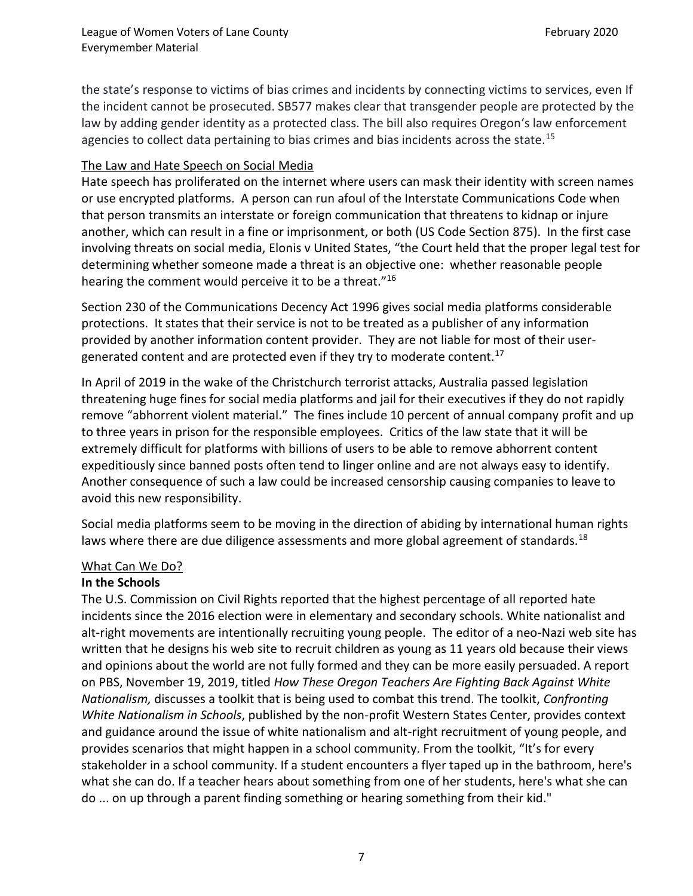the state's response to victims of bias crimes and incidents by connecting victims to services, even If the incident cannot be prosecuted. SB577 makes clear that transgender people are protected by the law by adding gender identity as a protected class. The bill also requires Oregon's law enforcement agencies to collect data pertaining to bias crimes and bias incidents across the state.<sup>15</sup>

#### The Law and Hate Speech on Social Media

Hate speech has proliferated on the internet where users can mask their identity with screen names or use encrypted platforms. A person can run afoul of the Interstate Communications Code when that person transmits an interstate or foreign communication that threatens to kidnap or injure another, which can result in a fine or imprisonment, or both (US Code Section 875). In the first case involving threats on social media, Elonis v United States, "the Court held that the proper legal test for determining whether someone made a threat is an objective one: whether reasonable people hearing the comment would perceive it to be a threat."<sup>16</sup>

Section 230 of the Communications Decency Act 1996 gives social media platforms considerable protections. It states that their service is not to be treated as a publisher of any information provided by another information content provider. They are not liable for most of their usergenerated content and are protected even if they try to moderate content.<sup>17</sup>

In April of 2019 in the wake of the Christchurch terrorist attacks, Australia passed legislation threatening huge fines for social media platforms and jail for their executives if they do not rapidly remove "abhorrent violent material." The fines include 10 percent of annual company profit and up to three years in prison for the responsible employees. Critics of the law state that it will be extremely difficult for platforms with billions of users to be able to remove abhorrent content expeditiously since banned posts often tend to linger online and are not always easy to identify. Another consequence of such a law could be increased censorship causing companies to leave to avoid this new responsibility.

Social media platforms seem to be moving in the direction of abiding by international human rights laws where there are due diligence assessments and more global agreement of standards.<sup>18</sup>

#### What Can We Do?

#### **In the Schools**

The U.S. Commission on Civil Rights reported that the highest percentage of all reported hate incidents since the 2016 election were in elementary and secondary schools. White nationalist and alt-right movements are intentionally recruiting young people. The editor of a neo-Nazi web site has written that he designs his web site to recruit children as young as 11 years old because their views and opinions about the world are not fully formed and they can be more easily persuaded. A report on PBS, November 19, 2019, titled *How These Oregon Teachers Are Fighting Back Against White Nationalism,* discusses a toolkit that is being used to combat this trend. The toolkit, *Confronting White Nationalism in Schools*, published by the non-profit Western States Center, provides context and guidance around the issue of white nationalism and alt-right recruitment of young people, and provides scenarios that might happen in a school community. From the toolkit, "It's for every stakeholder in a school community. If a student encounters a flyer taped up in the bathroom, here's what she can do. If a teacher hears about something from one of her students, here's what she can do ... on up through a parent finding something or hearing something from their kid."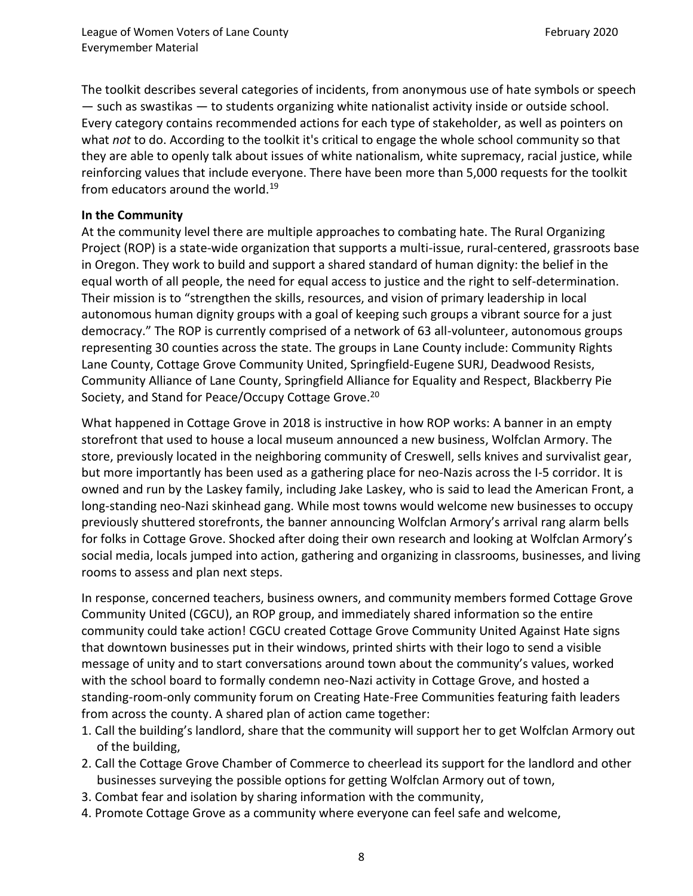The toolkit describes several categories of incidents, from anonymous use of hate symbols or speech — such as swastikas — to students organizing white nationalist activity inside or outside school. Every category contains recommended actions for each type of stakeholder, as well as pointers on what *not* to do. According to the toolkit it's critical to engage the whole school community so that they are able to openly talk about issues of white nationalism, white supremacy, racial justice, while reinforcing values that include everyone. There have been more than 5,000 requests for the toolkit from educators around the world.<sup>19</sup>

#### **In the Community**

At the community level there are multiple approaches to combating hate. The Rural Organizing Project (ROP) is a state-wide organization that supports a multi-issue, rural-centered, grassroots base in Oregon. They work to build and support a shared standard of human dignity: the belief in the equal worth of all people, the need for equal access to justice and the right to self-determination. Their mission is to "strengthen the skills, resources, and vision of primary leadership in local autonomous human dignity groups with a goal of keeping such groups a vibrant source for a just democracy." The ROP is currently comprised of a network of 63 all-volunteer, autonomous groups representing 30 counties across the state. The groups in Lane County include: Community Rights Lane County, Cottage Grove Community United, Springfield-Eugene SURJ, Deadwood Resists, Community Alliance of Lane County, Springfield Alliance for Equality and Respect, Blackberry Pie Society, and Stand for Peace/Occupy Cottage Grove.<sup>20</sup>

What happened in Cottage Grove in 2018 is instructive in how ROP works: A banner in an empty storefront that used to house a local museum announced a new business, Wolfclan Armory. The store, previously located in the neighboring community of Creswell, sells knives and survivalist gear, but more importantly has been used as a gathering place for neo-Nazis across the I-5 corridor. It is owned and run by the Laskey family, including Jake Laskey, who is said to lead the American Front, a long-standing neo-Nazi skinhead gang. While most towns would welcome new businesses to occupy previously shuttered storefronts, the banner announcing Wolfclan Armory's arrival rang alarm bells for folks in Cottage Grove. Shocked after doing their own research and looking at Wolfclan Armory's social media, locals jumped into action, gathering and organizing in classrooms, businesses, and living rooms to assess and plan next steps.

In response, concerned teachers, business owners, and community members formed Cottage Grove Community United (CGCU), an ROP group, and immediately shared information so the entire community could take action! CGCU created Cottage Grove Community United Against Hate signs that downtown businesses put in their windows, printed shirts with their logo to send a visible message of unity and to start conversations around town about the community's values, worked with the school board to formally condemn neo-Nazi activity in Cottage Grove, and hosted a standing-room-only community forum on Creating Hate-Free Communities featuring faith leaders from across the county. A shared plan of action came together:

- 1. Call the building's landlord, share that the community will support her to get Wolfclan Armory out of the building,
- 2. Call the Cottage Grove Chamber of Commerce to cheerlead its support for the landlord and other businesses surveying the possible options for getting Wolfclan Armory out of town,
- 3. Combat fear and isolation by sharing information with the community,
- 4. Promote Cottage Grove as a community where everyone can feel safe and welcome,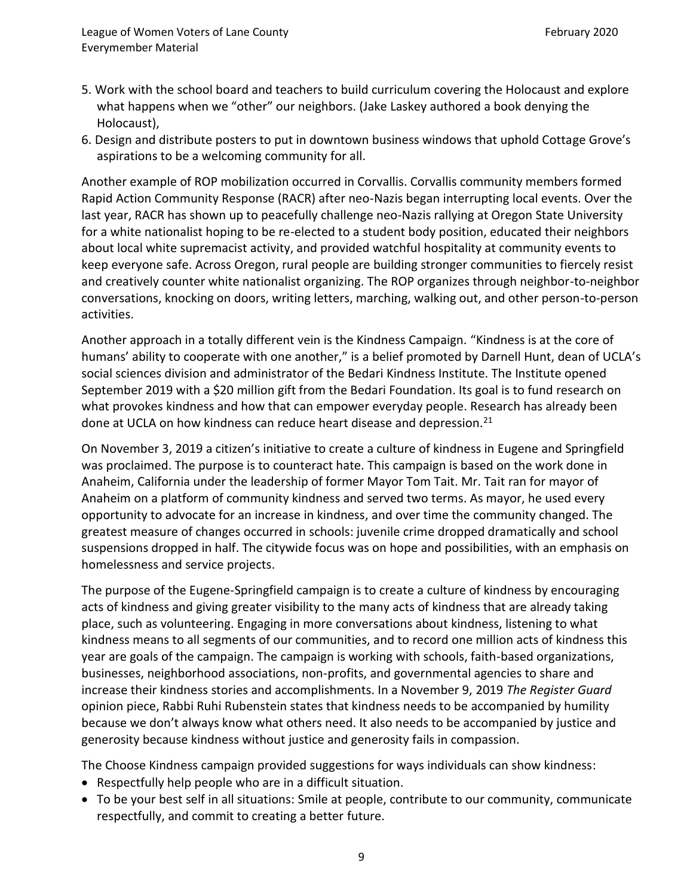- 5. Work with the school board and teachers to build curriculum covering the Holocaust and explore what happens when we "other" our neighbors. (Jake Laskey authored a book denying the Holocaust),
- 6. Design and distribute posters to put in downtown business windows that uphold Cottage Grove's aspirations to be a welcoming community for all.

Another example of ROP mobilization occurred in Corvallis. Corvallis community members formed Rapid Action Community Response (RACR) after neo-Nazis began interrupting local events. Over the last year, RACR has shown up to peacefully challenge neo-Nazis rallying at Oregon State University for a white nationalist hoping to be re-elected to a student body position, educated their neighbors about local white supremacist activity, and provided watchful hospitality at community events to keep everyone safe. Across Oregon, rural people are building stronger communities to fiercely resist and creatively counter white nationalist organizing. The ROP organizes through neighbor-to-neighbor conversations, knocking on doors, writing letters, marching, walking out, and other person-to-person activities.

Another approach in a totally different vein is the Kindness Campaign. "Kindness is at the core of humans' ability to cooperate with one another," is a belief promoted by Darnell Hunt, dean of UCLA's social sciences division and administrator of the Bedari Kindness Institute. The Institute opened September 2019 with a \$20 million gift from the Bedari Foundation. Its goal is to fund research on what provokes kindness and how that can empower everyday people. Research has already been done at UCLA on how kindness can reduce heart disease and depression.<sup>21</sup>

On November 3, 2019 a citizen's initiative to create a culture of kindness in Eugene and Springfield was proclaimed. The purpose is to counteract hate. This campaign is based on the work done in Anaheim, California under the leadership of former Mayor Tom Tait. Mr. Tait ran for mayor of Anaheim on a platform of community kindness and served two terms. As mayor, he used every opportunity to advocate for an increase in kindness, and over time the community changed. The greatest measure of changes occurred in schools: juvenile crime dropped dramatically and school suspensions dropped in half. The citywide focus was on hope and possibilities, with an emphasis on homelessness and service projects.

The purpose of the Eugene-Springfield campaign is to create a culture of kindness by encouraging acts of kindness and giving greater visibility to the many acts of kindness that are already taking place, such as volunteering. Engaging in more conversations about kindness, listening to what kindness means to all segments of our communities, and to record one million acts of kindness this year are goals of the campaign. The campaign is working with schools, faith-based organizations, businesses, neighborhood associations, non-profits, and governmental agencies to share and increase their kindness stories and accomplishments. In a November 9, 2019 *The Register Guard* opinion piece, Rabbi Ruhi Rubenstein states that kindness needs to be accompanied by humility because we don't always know what others need. It also needs to be accompanied by justice and generosity because kindness without justice and generosity fails in compassion.

The Choose Kindness campaign provided suggestions for ways individuals can show kindness:

- Respectfully help people who are in a difficult situation.
- To be your best self in all situations: Smile at people, contribute to our community, communicate respectfully, and commit to creating a better future.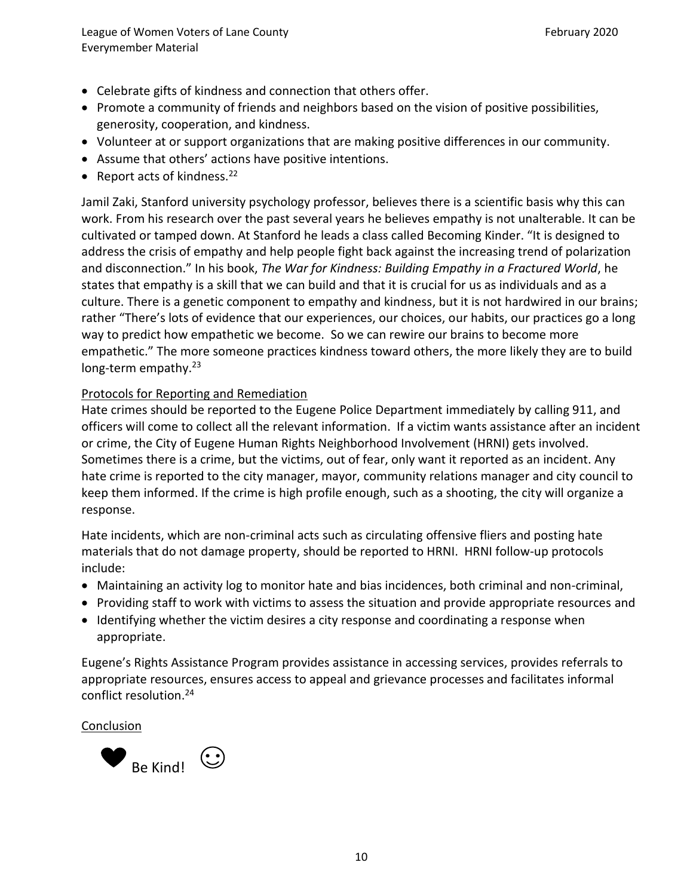- Celebrate gifts of kindness and connection that others offer.
- Promote a community of friends and neighbors based on the vision of positive possibilities, generosity, cooperation, and kindness.
- Volunteer at or support organizations that are making positive differences in our community.
- Assume that others' actions have positive intentions.
- Report acts of kindness.<sup>22</sup>

Jamil Zaki, Stanford university psychology professor, believes there is a scientific basis why this can work. From his research over the past several years he believes empathy is not unalterable. It can be cultivated or tamped down. At Stanford he leads a class called Becoming Kinder. "It is designed to address the crisis of empathy and help people fight back against the increasing trend of polarization and disconnection." In his book, *The War for Kindness: Building Empathy in a Fractured World*, he states that empathy is a skill that we can build and that it is crucial for us as individuals and as a culture. There is a genetic component to empathy and kindness, but it is not hardwired in our brains; rather "There's lots of evidence that our experiences, our choices, our habits, our practices go a long way to predict how empathetic we become. So we can rewire our brains to become more empathetic." The more someone practices kindness toward others, the more likely they are to build long-term empathy. $23$ 

# Protocols for Reporting and Remediation

Hate crimes should be reported to the Eugene Police Department immediately by calling 911, and officers will come to collect all the relevant information. If a victim wants assistance after an incident or crime, the City of Eugene Human Rights Neighborhood Involvement (HRNI) gets involved. Sometimes there is a crime, but the victims, out of fear, only want it reported as an incident. Any hate crime is reported to the city manager, mayor, community relations manager and city council to keep them informed. If the crime is high profile enough, such as a shooting, the city will organize a response.

Hate incidents, which are non-criminal acts such as circulating offensive fliers and posting hate materials that do not damage property, should be reported to HRNI. HRNI follow-up protocols include:

- Maintaining an activity log to monitor hate and bias incidences, both criminal and non-criminal,
- Providing staff to work with victims to assess the situation and provide appropriate resources and
- Identifying whether the victim desires a city response and coordinating a response when appropriate.

Eugene's Rights Assistance Program provides assistance in accessing services, provides referrals to appropriate resources, ensures access to appeal and grievance processes and facilitates informal conflict resolution. 24

## Conclusion